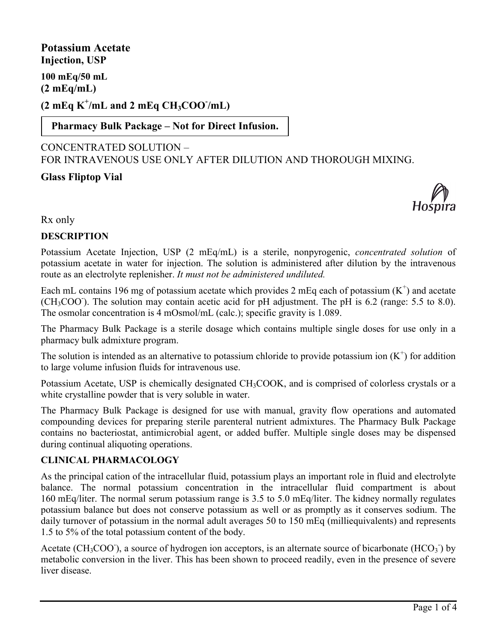**Potassium Acetate Injection, USP 100 mEq/50 mL (2 mEq/mL) (2 mEq K<sup>+</sup> /mL and 2 mEq CH3COO- /mL)**

**Pharmacy Bulk Package – Not for Direct Infusion.**

# CONCENTRATED SOLUTION – FOR INTRAVENOUS USE ONLY AFTER DILUTION AND THOROUGH MIXING.

# **Glass Fliptop Vial**



Rx only

## **DESCRIPTION**

Potassium Acetate Injection, USP (2 mEq/mL) is a sterile, nonpyrogenic, *concentrated solution* of potassium acetate in water for injection. The solution is administered after dilution by the intravenous route as an electrolyte replenisher. *It must not be administered undiluted.*

Each mL contains 196 mg of potassium acetate which provides 2 mEq each of potassium  $(K^+)$  and acetate (CH<sub>3</sub>COO<sup>-</sup>). The solution may contain acetic acid for pH adjustment. The pH is 6.2 (range: 5.5 to 8.0). The osmolar concentration is 4 mOsmol/mL (calc.); specific gravity is 1.089.

The Pharmacy Bulk Package is a sterile dosage which contains multiple single doses for use only in a pharmacy bulk admixture program.

The solution is intended as an alternative to potassium chloride to provide potassium ion  $(K^+)$  for addition to large volume infusion fluids for intravenous use.

Potassium Acetate, USP is chemically designated CH<sub>3</sub>COOK, and is comprised of colorless crystals or a white crystalline powder that is very soluble in water.

The Pharmacy Bulk Package is designed for use with manual, gravity flow operations and automated compounding devices for preparing sterile parenteral nutrient admixtures. The Pharmacy Bulk Package contains no bacteriostat, antimicrobial agent, or added buffer. Multiple single doses may be dispensed during continual aliquoting operations.

## **CLINICAL PHARMACOLOGY**

As the principal cation of the intracellular fluid, potassium plays an important role in fluid and electrolyte balance. The normal potassium concentration in the intracellular fluid compartment is about 160 mEq/liter. The normal serum potassium range is 3.5 to 5.0 mEq/liter. The kidney normally regulates potassium balance but does not conserve potassium as well or as promptly as it conserves sodium. The daily turnover of potassium in the normal adult averages 50 to 150 mEq (milliequivalents) and represents 1.5 to 5% of the total potassium content of the body.

Acetate (CH<sub>3</sub>COO<sup>-</sup>), a source of hydrogen ion acceptors, is an alternate source of bicarbonate (HCO<sub>3</sub><sup>-</sup>) by metabolic conversion in the liver. This has been shown to proceed readily, even in the presence of severe liver disease.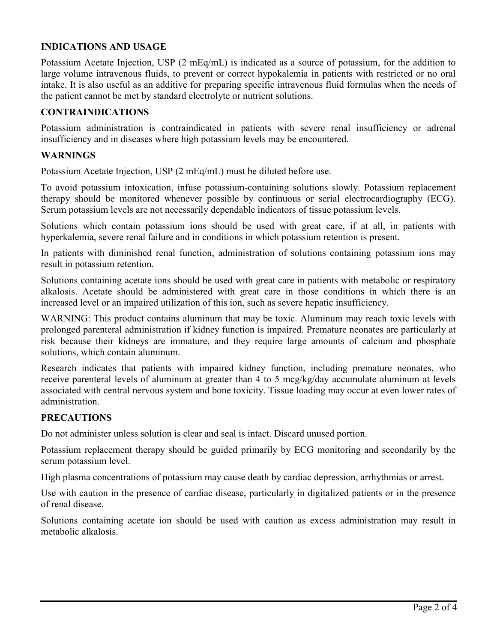## **INDICATIONS AND USAGE**

Potassium Acetate Injection, USP (2 mEq/mL) is indicated as a source of potassium, for the addition to large volume intravenous fluids, to prevent or correct hypokalemia in patients with restricted or no oral intake. It is also useful as an additive for preparing specific intravenous fluid formulas when the needs of the patient cannot be met by standard electrolyte or nutrient solutions.

### **CONTRAINDICATIONS**

Potassium administration is contraindicated in patients with severe renal insufficiency or adrenal insufficiency and in diseases where high potassium levels may be encountered.

#### **WARNINGS**

Potassium Acetate Injection, USP (2 mEq/mL) must be diluted before use.

To avoid potassium intoxication, infuse potassium-containing solutions slowly. Potassium replacement therapy should be monitored whenever possible by continuous or serial electrocardiography (ECG). Serum potassium levels are not necessarily dependable indicators of tissue potassium levels.

Solutions which contain potassium ions should be used with great care, if at all, in patients with hyperkalemia, severe renal failure and in conditions in which potassium retention is present.

In patients with diminished renal function, administration of solutions containing potassium ions may result in potassium retention.

Solutions containing acetate ions should be used with great care in patients with metabolic or respiratory alkalosis. Acetate should be administered with great care in those conditions in which there is an increased level or an impaired utilization of this ion, such as severe hepatic insufficiency.

WARNING: This product contains aluminum that may be toxic. Aluminum may reach toxic levels with prolonged parenteral administration if kidney function is impaired. Premature neonates are particularly at risk because their kidneys are immature, and they require large amounts of calcium and phosphate solutions, which contain aluminum.

Research indicates that patients with impaired kidney function, including premature neonates, who receive parenteral levels of aluminum at greater than 4 to 5 mcg/kg/day accumulate aluminum at levels associated with central nervous system and bone toxicity. Tissue loading may occur at even lower rates of administration.

### **PRECAUTIONS**

Do not administer unless solution is clear and seal is intact. Discard unused portion.

Potassium replacement therapy should be guided primarily by ECG monitoring and secondarily by the serum potassium level.

High plasma concentrations of potassium may cause death by cardiac depression, arrhythmias or arrest.

Use with caution in the presence of cardiac disease, particularly in digitalized patients or in the presence of renal disease.

Solutions containing acetate ion should be used with caution as excess administration may result in metabolic alkalosis.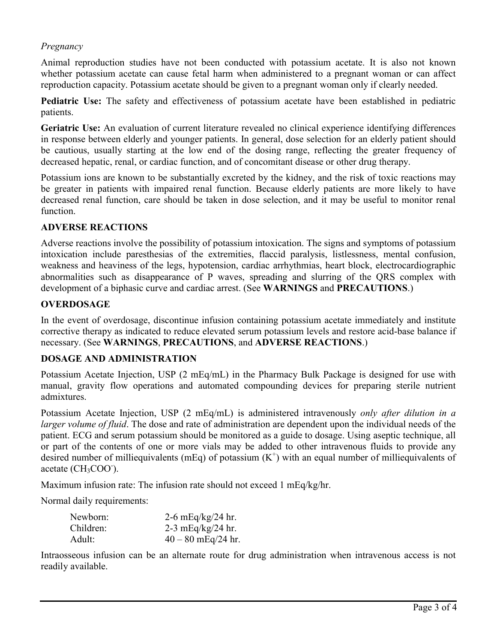## *Pregnancy*

Animal reproduction studies have not been conducted with potassium acetate. It is also not known whether potassium acetate can cause fetal harm when administered to a pregnant woman or can affect reproduction capacity. Potassium acetate should be given to a pregnant woman only if clearly needed.

**Pediatric Use:** The safety and effectiveness of potassium acetate have been established in pediatric patients.

**Geriatric Use:** An evaluation of current literature revealed no clinical experience identifying differences in response between elderly and younger patients. In general, dose selection for an elderly patient should be cautious, usually starting at the low end of the dosing range, reflecting the greater frequency of decreased hepatic, renal, or cardiac function, and of concomitant disease or other drug therapy.

Potassium ions are known to be substantially excreted by the kidney, and the risk of toxic reactions may be greater in patients with impaired renal function. Because elderly patients are more likely to have decreased renal function, care should be taken in dose selection, and it may be useful to monitor renal function.

### **ADVERSE REACTIONS**

Adverse reactions involve the possibility of potassium intoxication. The signs and symptoms of potassium intoxication include paresthesias of the extremities, flaccid paralysis, listlessness, mental confusion, weakness and heaviness of the legs, hypotension, cardiac arrhythmias, heart block, electrocardiographic abnormalities such as disappearance of P waves, spreading and slurring of the QRS complex with development of a biphasic curve and cardiac arrest. (See **WARNINGS** and **PRECAUTIONS**.)

#### **OVERDOSAGE**

In the event of overdosage, discontinue infusion containing potassium acetate immediately and institute corrective therapy as indicated to reduce elevated serum potassium levels and restore acid-base balance if necessary. (See **WARNINGS**, **PRECAUTIONS**, and **ADVERSE REACTIONS**.)

### **DOSAGE AND ADMINISTRATION**

Potassium Acetate Injection, USP (2 mEq/mL) in the Pharmacy Bulk Package is designed for use with manual, gravity flow operations and automated compounding devices for preparing sterile nutrient admixtures.

Potassium Acetate Injection, USP (2 mEq/mL) is administered intravenously *only after dilution in a larger volume of fluid*. The dose and rate of administration are dependent upon the individual needs of the patient. ECG and serum potassium should be monitored as a guide to dosage. Using aseptic technique, all or part of the contents of one or more vials may be added to other intravenous fluids to provide any desired number of milliequivalents (mEq) of potassium  $(K^+)$  with an equal number of milliequivalents of acetate (CH<sub>3</sub>COO<sup>-</sup>).

Maximum infusion rate: The infusion rate should not exceed 1 mEq/kg/hr.

Normal daily requirements:

| Newborn:  | 2-6 mEq/kg/24 hr.    |
|-----------|----------------------|
| Children: | 2-3 mEq/kg/24 hr.    |
| Adult:    | $40 - 80$ mEq/24 hr. |

Intraosseous infusion can be an alternate route for drug administration when intravenous access is not readily available.